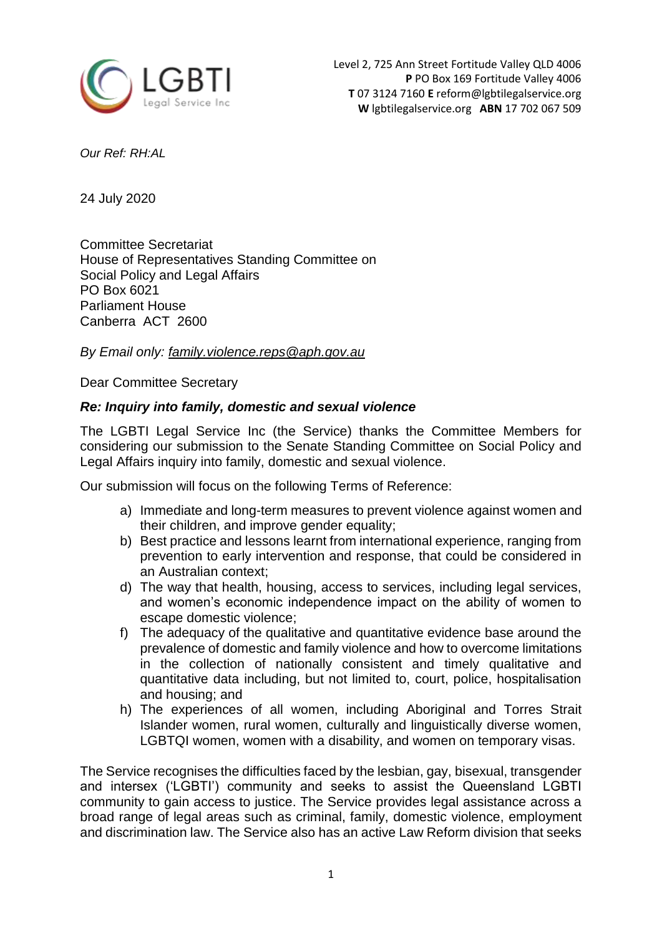

*Our Ref: RH:AL*

24 July 2020

Committee Secretariat House of Representatives Standing Committee on Social Policy and Legal Affairs PO Box 6021 Parliament House Canberra ACT 2600

*By Email only: [family.violence.reps@aph.gov.au](mailto:family.violence.reps@aph.gov.au)*

Dear Committee Secretary

# *Re: Inquiry into family, domestic and sexual violence*

The LGBTI Legal Service Inc (the Service) thanks the Committee Members for considering our submission to the Senate Standing Committee on Social Policy and Legal Affairs inquiry into family, domestic and sexual violence.

Our submission will focus on the following Terms of Reference:

- a) Immediate and long-term measures to prevent violence against women and their children, and improve gender equality;
- b) Best practice and lessons learnt from international experience, ranging from prevention to early intervention and response, that could be considered in an Australian context;
- d) The way that health, housing, access to services, including legal services, and women's economic independence impact on the ability of women to escape domestic violence;
- f) The adequacy of the qualitative and quantitative evidence base around the prevalence of domestic and family violence and how to overcome limitations in the collection of nationally consistent and timely qualitative and quantitative data including, but not limited to, court, police, hospitalisation and housing; and
- h) The experiences of all women, including Aboriginal and Torres Strait Islander women, rural women, culturally and linguistically diverse women, LGBTQI women, women with a disability, and women on temporary visas.

The Service recognises the difficulties faced by the lesbian, gay, bisexual, transgender and intersex ('LGBTI') community and seeks to assist the Queensland LGBTI community to gain access to justice. The Service provides legal assistance across a broad range of legal areas such as criminal, family, domestic violence, employment and discrimination law. The Service also has an active Law Reform division that seeks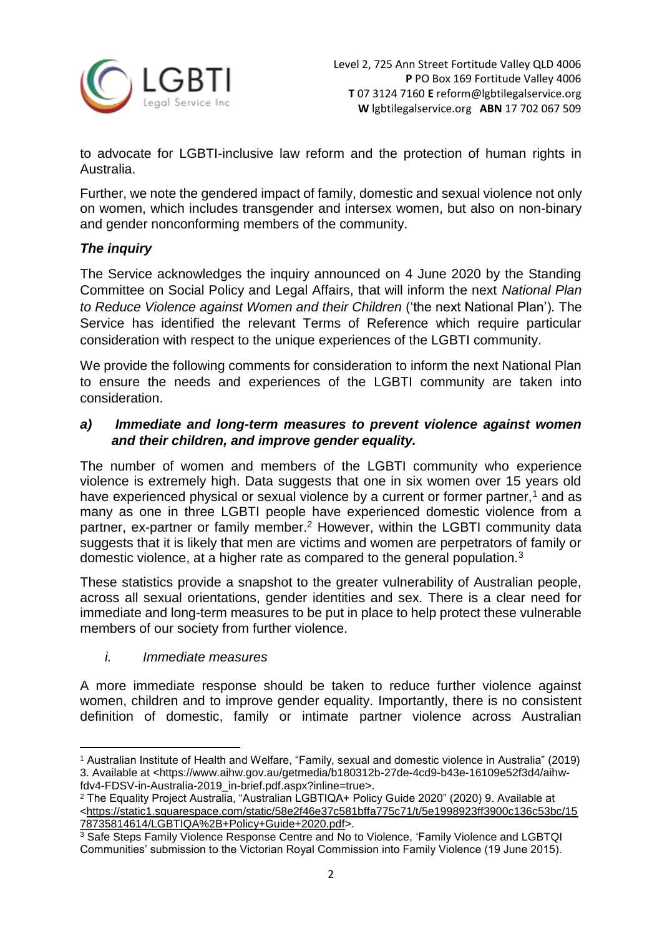

to advocate for LGBTI-inclusive law reform and the protection of human rights in Australia.

Further, we note the gendered impact of family, domestic and sexual violence not only on women, which includes transgender and intersex women, but also on non-binary and gender nonconforming members of the community.

# *The inquiry*

The Service acknowledges the inquiry announced on 4 June 2020 by the Standing Committee on Social Policy and Legal Affairs, that will inform the next *National Plan to Reduce Violence against Women and their Children* ('the next National Plan')*.* The Service has identified the relevant Terms of Reference which require particular consideration with respect to the unique experiences of the LGBTI community.

We provide the following comments for consideration to inform the next National Plan to ensure the needs and experiences of the LGBTI community are taken into consideration.

# *a) Immediate and long-term measures to prevent violence against women and their children, and improve gender equality.*

The number of women and members of the LGBTI community who experience violence is extremely high. Data suggests that one in six women over 15 years old have experienced physical or sexual violence by a current or former partner,<sup>1</sup> and as many as one in three LGBTI people have experienced domestic violence from a partner, ex-partner or family member.<sup>2</sup> However, within the LGBTI community data suggests that it is likely that men are victims and women are perpetrators of family or domestic violence, at a higher rate as compared to the general population.<sup>3</sup>

These statistics provide a snapshot to the greater vulnerability of Australian people, across all sexual orientations, gender identities and sex. There is a clear need for immediate and long-term measures to be put in place to help protect these vulnerable members of our society from further violence.

## *i. Immediate measures*

A more immediate response should be taken to reduce further violence against women, children and to improve gender equality. Importantly, there is no consistent definition of domestic, family or intimate partner violence across Australian

**<sup>.</sup>** <sup>1</sup> Australian Institute of Health and Welfare, "Family, sexual and domestic violence in Australia" (2019) 3. Available at *<*[https://www.aihw.gov.au/getmedia/b180312b-27de-4cd9-b43e-16109e52f3d4/aihw](https://www.aihw.gov.au/getmedia/b180312b-27de-4cd9-b43e-16109e52f3d4/aihw-fdv4-FDSV-in-Australia-2019_in-brief.pdf.aspx?inline=true)[fdv4-FDSV-in-Australia-2019\\_in-brief.pdf.aspx?inline=true>](https://www.aihw.gov.au/getmedia/b180312b-27de-4cd9-b43e-16109e52f3d4/aihw-fdv4-FDSV-in-Australia-2019_in-brief.pdf.aspx?inline=true).

<sup>2</sup> The Equality Project Australia, "Australian LGBTIQA+ Policy Guide 2020" (2020) 9. Available at [<https://static1.squarespace.com/static/58e2f46e37c581bffa775c71/t/5e1998923ff3900c136c53bc/15](https://static1.squarespace.com/static/58e2f46e37c581bffa775c71/t/5e1998923ff3900c136c53bc/1578735814614/LGBTIQA%2B+Policy+Guide+2020.pdf) [78735814614/LGBTIQA%2B+Policy+Guide+2020.pdf>](https://static1.squarespace.com/static/58e2f46e37c581bffa775c71/t/5e1998923ff3900c136c53bc/1578735814614/LGBTIQA%2B+Policy+Guide+2020.pdf).

<sup>3</sup> Safe Steps Family Violence Response Centre and No to Violence, 'Family Violence and LGBTQI Communities' submission to the Victorian Royal Commission into Family Violence (19 June 2015).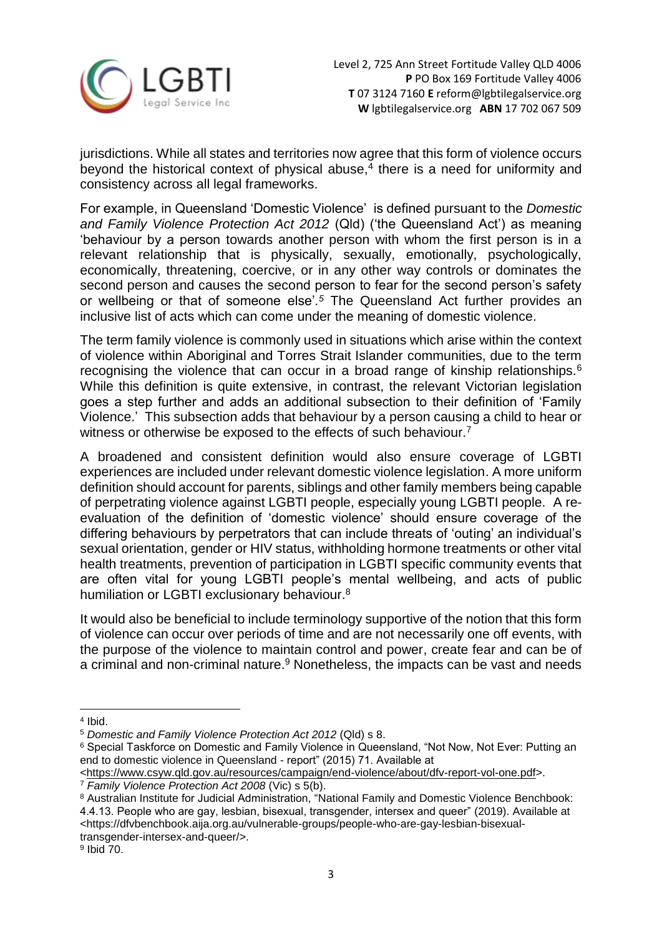

jurisdictions. While all states and territories now agree that this form of violence occurs beyond the historical context of physical abuse, $4$  there is a need for uniformity and consistency across all legal frameworks.

For example, in Queensland 'Domestic Violence' is defined pursuant to the *Domestic and Family Violence Protection Act 2012* (Qld) ('the Queensland Act') as meaning 'behaviour by a person towards another person with whom the first person is in a relevant relationship that is physically, sexually, emotionally, psychologically, economically, threatening, coercive, or in any other way controls or dominates the second person and causes the second person to fear for the second person's safety or wellbeing or that of someone else'*. <sup>5</sup>* The Queensland Act further provides an inclusive list of acts which can come under the meaning of domestic violence.

The term family violence is commonly used in situations which arise within the context of violence within Aboriginal and Torres Strait Islander communities, due to the term recognising the violence that can occur in a broad range of kinship relationships.<sup>6</sup> While this definition is quite extensive, in contrast, the relevant Victorian legislation goes a step further and adds an additional subsection to their definition of 'Family Violence.' This subsection adds that behaviour by a person causing a child to hear or witness or otherwise be exposed to the effects of such behaviour.<sup>7</sup>

A broadened and consistent definition would also ensure coverage of LGBTI experiences are included under relevant domestic violence legislation. A more uniform definition should account for parents, siblings and other family members being capable of perpetrating violence against LGBTI people, especially young LGBTI people. A reevaluation of the definition of 'domestic violence' should ensure coverage of the differing behaviours by perpetrators that can include threats of 'outing' an individual's sexual orientation, gender or HIV status, withholding hormone treatments or other vital health treatments, prevention of participation in LGBTI specific community events that are often vital for young LGBTI people's mental wellbeing, and acts of public humiliation or LGBTI exclusionary behaviour.<sup>8</sup>

It would also be beneficial to include terminology supportive of the notion that this form of violence can occur over periods of time and are not necessarily one off events, with the purpose of the violence to maintain control and power, create fear and can be of a criminal and non-criminal nature.<sup>9</sup> Nonetheless, the impacts can be vast and needs

**.** 

<sup>4</sup> Ibid.

<sup>5</sup> *Domestic and Family Violence Protection Act 2012* (Qld) s 8.

<sup>&</sup>lt;sup>6</sup> Special Taskforce on Domestic and Family Violence in Queensland, "Not Now, Not Ever: Putting an end to domestic violence in Queensland - report" (2015) 71. Available at

[<sup>&</sup>lt;https://www.csyw.qld.gov.au/resources/campaign/end-violence/about/dfv-report-vol-one.pdf>](https://www.csyw.qld.gov.au/resources/campaign/end-violence/about/dfv-report-vol-one.pdf).

<sup>7</sup> *Family Violence Protection Act 2008* (Vic) s 5(b).

<sup>8</sup> Australian Institute for Judicial Administration, "National Family and Domestic Violence Benchbook: 4.4.13. People who are gay, lesbian, bisexual, transgender, intersex and queer" (2019). Available at [<https://dfvbenchbook.aija.org.au/vulnerable-groups/people-who-are-gay-lesbian-bisexual](https://dfvbenchbook.aija.org.au/vulnerable-groups/people-who-are-gay-lesbian-bisexual-transgender-intersex-and-queer/)[transgender-intersex-and-queer/>](https://dfvbenchbook.aija.org.au/vulnerable-groups/people-who-are-gay-lesbian-bisexual-transgender-intersex-and-queer/).

<sup>9</sup> Ibid 70.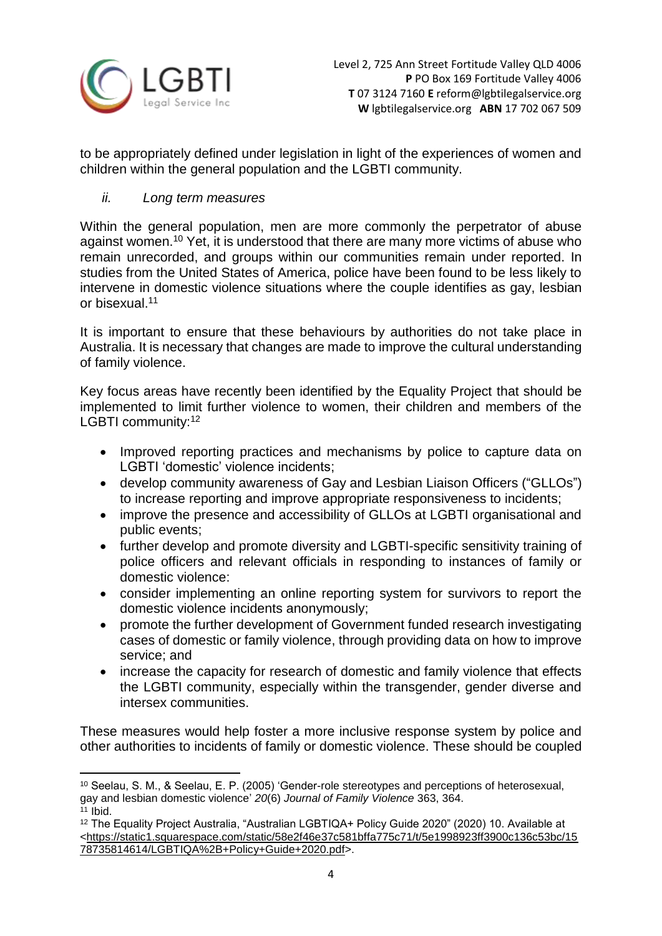

to be appropriately defined under legislation in light of the experiences of women and children within the general population and the LGBTI community.

# *ii. Long term measures*

Within the general population, men are more commonly the perpetrator of abuse against women.<sup>10</sup> Yet, it is understood that there are many more victims of abuse who remain unrecorded, and groups within our communities remain under reported. In studies from the United States of America, police have been found to be less likely to intervene in domestic violence situations where the couple identifies as gay, lesbian or bisexual<sup>11</sup>

It is important to ensure that these behaviours by authorities do not take place in Australia. It is necessary that changes are made to improve the cultural understanding of family violence.

Key focus areas have recently been identified by the Equality Project that should be implemented to limit further violence to women, their children and members of the LGBTI community:<sup>12</sup>

- Improved reporting practices and mechanisms by police to capture data on LGBTI 'domestic' violence incidents;
- develop community awareness of Gay and Lesbian Liaison Officers ("GLLOs") to increase reporting and improve appropriate responsiveness to incidents;
- improve the presence and accessibility of GLLOs at LGBTI organisational and public events;
- further develop and promote diversity and LGBTI-specific sensitivity training of police officers and relevant officials in responding to instances of family or domestic violence:
- consider implementing an online reporting system for survivors to report the domestic violence incidents anonymously;
- promote the further development of Government funded research investigating cases of domestic or family violence, through providing data on how to improve service; and
- increase the capacity for research of domestic and family violence that effects the LGBTI community, especially within the transgender, gender diverse and intersex communities.

These measures would help foster a more inclusive response system by police and other authorities to incidents of family or domestic violence. These should be coupled

1

<sup>10</sup> Seelau, S. M., & Seelau, E. P. (2005) 'Gender-role stereotypes and perceptions of heterosexual, gay and lesbian domestic violence' *20*(6) *Journal of Family Violence* 363, 364.

<sup>11</sup> Ibid.

<sup>12</sup> The Equality Project Australia, "Australian LGBTIQA+ Policy Guide 2020" (2020) 10. Available at [<https://static1.squarespace.com/static/58e2f46e37c581bffa775c71/t/5e1998923ff3900c136c53bc/15](https://static1.squarespace.com/static/58e2f46e37c581bffa775c71/t/5e1998923ff3900c136c53bc/1578735814614/LGBTIQA%2B+Policy+Guide+2020.pdf) [78735814614/LGBTIQA%2B+Policy+Guide+2020.pdf>](https://static1.squarespace.com/static/58e2f46e37c581bffa775c71/t/5e1998923ff3900c136c53bc/1578735814614/LGBTIQA%2B+Policy+Guide+2020.pdf).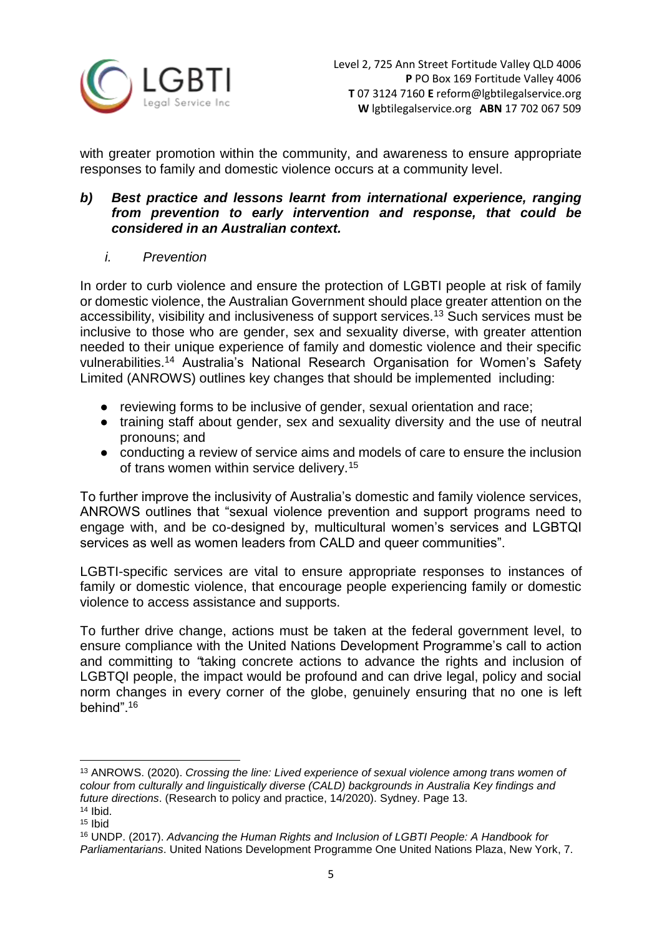

with greater promotion within the community, and awareness to ensure appropriate responses to family and domestic violence occurs at a community level.

## *b) Best practice and lessons learnt from international experience, ranging from prevention to early intervention and response, that could be considered in an Australian context.*

# *i. Prevention*

In order to curb violence and ensure the protection of LGBTI people at risk of family or domestic violence, the Australian Government should place greater attention on the accessibility, visibility and inclusiveness of support services.<sup>13</sup> Such services must be inclusive to those who are gender, sex and sexuality diverse, with greater attention needed to their unique experience of family and domestic violence and their specific vulnerabilities.<sup>14</sup> Australia's National Research Organisation for Women's Safety Limited (ANROWS) outlines key changes that should be implemented including:

- reviewing forms to be inclusive of gender, sexual orientation and race;
- training staff about gender, sex and sexuality diversity and the use of neutral pronouns; and
- conducting a review of service aims and models of care to ensure the inclusion of trans women within service delivery.<sup>15</sup>

To further improve the inclusivity of Australia's domestic and family violence services, ANROWS outlines that "sexual violence prevention and support programs need to engage with, and be co-designed by, multicultural women's services and LGBTQI services as well as women leaders from CALD and queer communities".

LGBTI-specific services are vital to ensure appropriate responses to instances of family or domestic violence, that encourage people experiencing family or domestic violence to access assistance and supports.

To further drive change, actions must be taken at the federal government level, to ensure compliance with the United Nations Development Programme's call to action and committing to *"*taking concrete actions to advance the rights and inclusion of LGBTQI people, the impact would be profound and can drive legal, policy and social norm changes in every corner of the globe, genuinely ensuring that no one is left behind".<sup>16</sup>

**<sup>.</sup>** <sup>13</sup> ANROWS. (2020). *Crossing the line: Lived experience of sexual violence among trans women of colour from culturally and linguistically diverse (CALD) backgrounds in Australia Key findings and future directions*. (Research to policy and practice, 14/2020). Sydney. Page 13.  $14$  Ibid.

<sup>15</sup> Ibid

<sup>16</sup> UNDP. (2017). *Advancing the Human Rights and Inclusion of LGBTI People: A Handbook for Parliamentarians*. United Nations Development Programme One United Nations Plaza, New York, 7.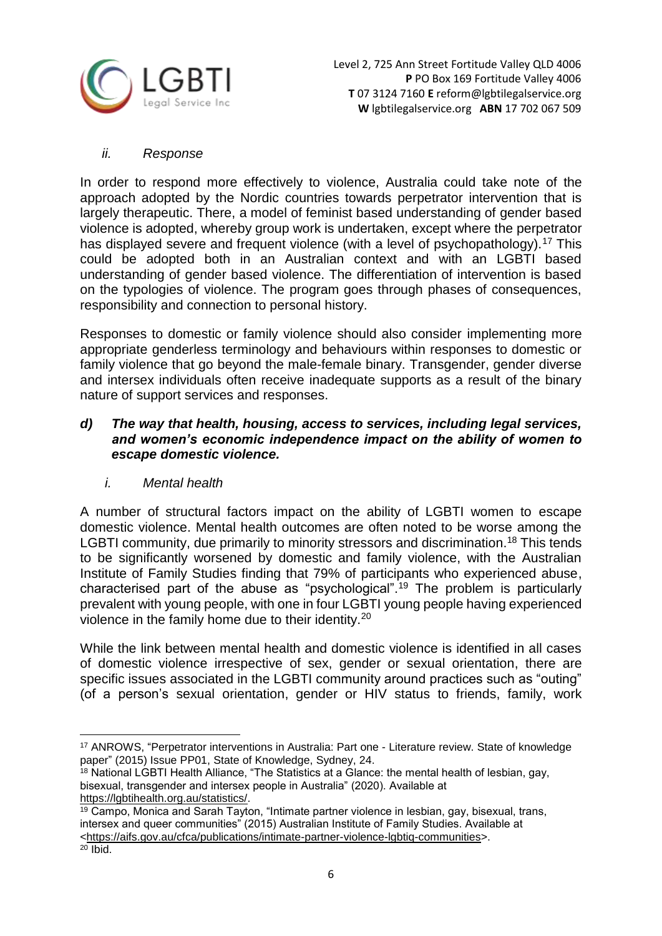

## *ii. Response*

In order to respond more effectively to violence, Australia could take note of the approach adopted by the Nordic countries towards perpetrator intervention that is largely therapeutic. There, a model of feminist based understanding of gender based violence is adopted, whereby group work is undertaken, except where the perpetrator has displayed severe and frequent violence (with a level of psychopathology).<sup>17</sup> This could be adopted both in an Australian context and with an LGBTI based understanding of gender based violence. The differentiation of intervention is based on the typologies of violence. The program goes through phases of consequences, responsibility and connection to personal history.

Responses to domestic or family violence should also consider implementing more appropriate genderless terminology and behaviours within responses to domestic or family violence that go beyond the male-female binary. Transgender, gender diverse and intersex individuals often receive inadequate supports as a result of the binary nature of support services and responses.

## *d) The way that health, housing, access to services, including legal services, and women's economic independence impact on the ability of women to escape domestic violence.*

*i. Mental health*

A number of structural factors impact on the ability of LGBTI women to escape domestic violence. Mental health outcomes are often noted to be worse among the LGBTI community, due primarily to minority stressors and discrimination.<sup>18</sup> This tends to be significantly worsened by domestic and family violence, with the Australian Institute of Family Studies finding that 79% of participants who experienced abuse, characterised part of the abuse as "psychological".<sup>19</sup> The problem is particularly prevalent with young people, with one in four LGBTI young people having experienced violence in the family home due to their identity.<sup>20</sup>

While the link between mental health and domestic violence is identified in all cases of domestic violence irrespective of sex, gender or sexual orientation, there are specific issues associated in the LGBTI community around practices such as "outing" (of a person's sexual orientation, gender or HIV status to friends, family, work

 $18$  National LGBTI Health Alliance, "The Statistics at a Glance: the mental health of lesbian, gay, bisexual, transgender and intersex people in Australia" (2020). Available at [https://lgbtihealth.org.au/statistics/.](https://lgbtihealth.org.au/statistics/)

 $\overline{\phantom{a}}$ <sup>17</sup> ANROWS, "Perpetrator interventions in Australia: Part one - Literature review. State of knowledge paper" (2015) Issue PP01, State of Knowledge, Sydney, 24.

 $\frac{19}{19}$  Campo, Monica and Sarah Tayton, "Intimate partner violence in lesbian, gay, bisexual, trans, intersex and queer communities" (2015) Australian Institute of Family Studies. Available at [<https://aifs.gov.au/cfca/publications/intimate-partner-violence-lgbtiq-communities>](https://aifs.gov.au/cfca/publications/intimate-partner-violence-lgbtiq-communities).  $20$  Ibid.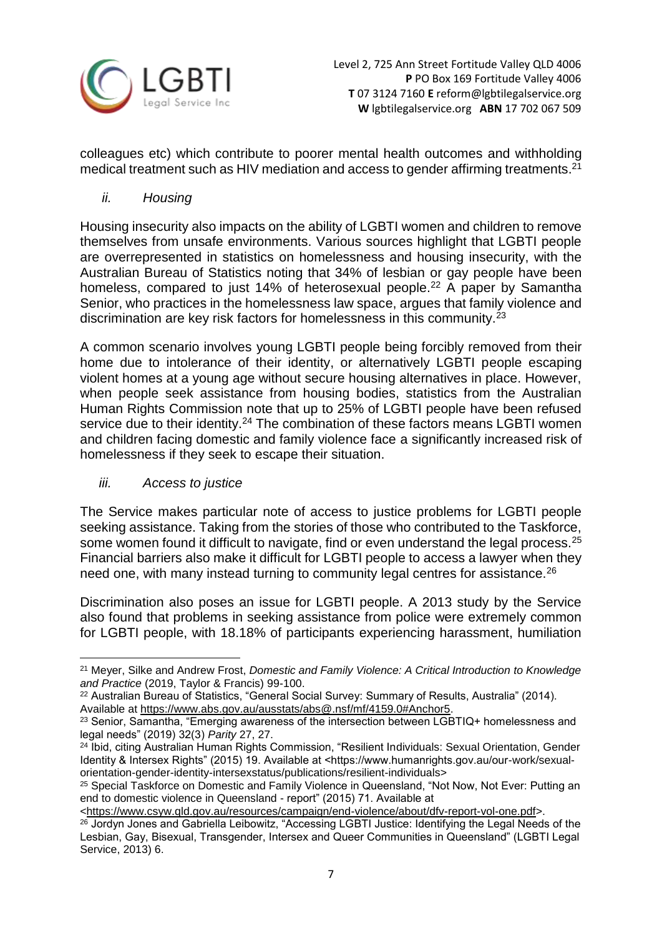

colleagues etc) which contribute to poorer mental health outcomes and withholding medical treatment such as HIV mediation and access to gender affirming treatments.<sup>21</sup>

## *ii. Housing*

Housing insecurity also impacts on the ability of LGBTI women and children to remove themselves from unsafe environments. Various sources highlight that LGBTI people are overrepresented in statistics on homelessness and housing insecurity, with the Australian Bureau of Statistics noting that 34% of lesbian or gay people have been homeless, compared to just 14% of heterosexual people.<sup>22</sup> A paper by Samantha Senior, who practices in the homelessness law space, argues that family violence and discrimination are key risk factors for homelessness in this community.<sup>23</sup>

A common scenario involves young LGBTI people being forcibly removed from their home due to intolerance of their identity, or alternatively LGBTI people escaping violent homes at a young age without secure housing alternatives in place. However, when people seek assistance from housing bodies, statistics from the Australian Human Rights Commission note that up to 25% of LGBTI people have been refused service due to their identity.<sup>24</sup> The combination of these factors means LGBTI women and children facing domestic and family violence face a significantly increased risk of homelessness if they seek to escape their situation.

## *iii. Access to justice*

The Service makes particular note of access to justice problems for LGBTI people seeking assistance. Taking from the stories of those who contributed to the Taskforce, some women found it difficult to navigate, find or even understand the legal process.<sup>25</sup> Financial barriers also make it difficult for LGBTI people to access a lawyer when they need one, with many instead turning to community legal centres for assistance.<sup>26</sup>

Discrimination also poses an issue for LGBTI people. A 2013 study by the Service also found that problems in seeking assistance from police were extremely common for LGBTI people, with 18.18% of participants experiencing harassment, humiliation

<sup>1</sup> <sup>21</sup> Meyer, Silke and Andrew Frost, *Domestic and Family Violence: A Critical Introduction to Knowledge and Practice* (2019, Taylor & Francis) 99-100.

<sup>22</sup> Australian Bureau of Statistics, "General Social Survey: Summary of Results, Australia" (2014). Available at [https://www.abs.gov.au/ausstats/abs@.nsf/mf/4159.0#Anchor5.](https://www.abs.gov.au/ausstats/abs@.nsf/mf/4159.0#Anchor5)

 $23$  Senior, Samantha, "Emerging awareness of the intersection between LGBTIQ+ homelessness and legal needs" (2019) 32(3) *Parity* 27, 27.

<sup>24</sup> Ibid, citing Australian Human Rights Commission, "Resilient Individuals: Sexual Orientation, Gender Identity & Intersex Rights" (2015) 19. Available at <https://www.humanrights.gov.au/our-work/sexualorientation-gender-identity-intersexstatus/publications/resilient-individuals>

<sup>&</sup>lt;sup>25</sup> Special Taskforce on Domestic and Family Violence in Queensland, "Not Now, Not Ever: Putting an end to domestic violence in Queensland - report" (2015) 71. Available at

[<sup>&</sup>lt;https://www.csyw.qld.gov.au/resources/campaign/end-violence/about/dfv-report-vol-one.pdf>](https://www.csyw.qld.gov.au/resources/campaign/end-violence/about/dfv-report-vol-one.pdf).

<sup>&</sup>lt;sup>26</sup> Jordyn Jones and Gabriella Leibowitz, "Accessing LGBTI Justice: Identifying the Legal Needs of the Lesbian, Gay, Bisexual, Transgender, Intersex and Queer Communities in Queensland" (LGBTI Legal Service, 2013) 6.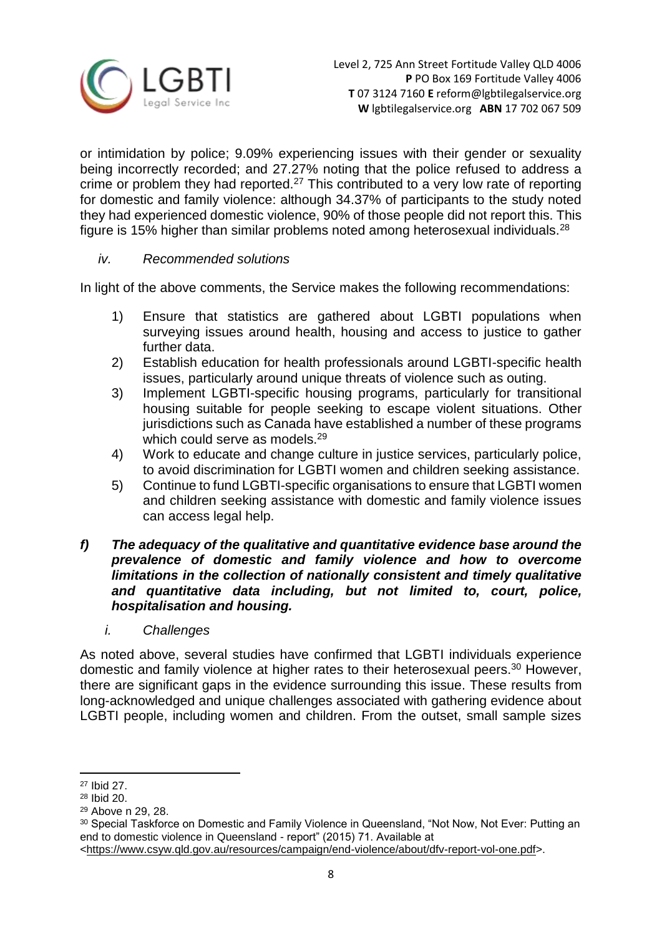

or intimidation by police; 9.09% experiencing issues with their gender or sexuality being incorrectly recorded; and 27.27% noting that the police refused to address a crime or problem they had reported.<sup>27</sup> This contributed to a very low rate of reporting for domestic and family violence: although 34.37% of participants to the study noted they had experienced domestic violence, 90% of those people did not report this. This figure is 15% higher than similar problems noted among heterosexual individuals.<sup>28</sup>

## *iv. Recommended solutions*

In light of the above comments, the Service makes the following recommendations:

- 1) Ensure that statistics are gathered about LGBTI populations when surveying issues around health, housing and access to justice to gather further data.
- 2) Establish education for health professionals around LGBTI-specific health issues, particularly around unique threats of violence such as outing.
- 3) Implement LGBTI-specific housing programs, particularly for transitional housing suitable for people seeking to escape violent situations. Other jurisdictions such as Canada have established a number of these programs which could serve as models.<sup>29</sup>
- 4) Work to educate and change culture in justice services, particularly police, to avoid discrimination for LGBTI women and children seeking assistance.
- 5) Continue to fund LGBTI-specific organisations to ensure that LGBTI women and children seeking assistance with domestic and family violence issues can access legal help.
- *f) The adequacy of the qualitative and quantitative evidence base around the prevalence of domestic and family violence and how to overcome limitations in the collection of nationally consistent and timely qualitative and quantitative data including, but not limited to, court, police, hospitalisation and housing.* 
	- *i. Challenges*

As noted above, several studies have confirmed that LGBTI individuals experience domestic and family violence at higher rates to their heterosexual peers.<sup>30</sup> However, there are significant gaps in the evidence surrounding this issue. These results from long-acknowledged and unique challenges associated with gathering evidence about LGBTI people, including women and children. From the outset, small sample sizes

1

<sup>27</sup> Ibid 27.

<sup>28</sup> Ibid 20.

<sup>29</sup> Above n 29, 28.

<sup>30</sup> Special Taskforce on Domestic and Family Violence in Queensland, "Not Now, Not Ever: Putting an end to domestic violence in Queensland - report" (2015) 71. Available at [<https://www.csyw.qld.gov.au/resources/campaign/end-violence/about/dfv-report-vol-one.pdf>](https://www.csyw.qld.gov.au/resources/campaign/end-violence/about/dfv-report-vol-one.pdf).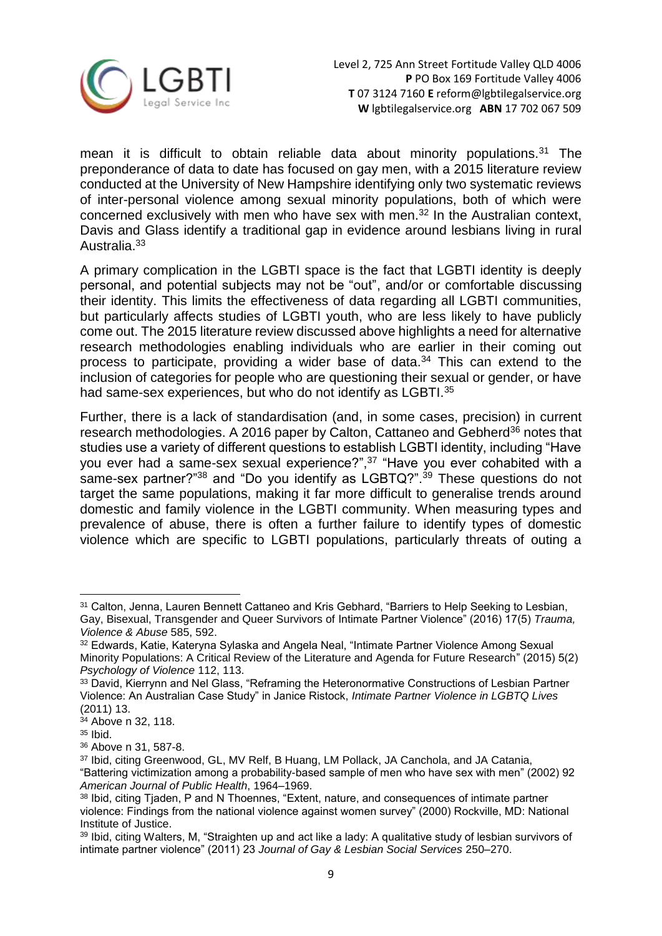

mean it is difficult to obtain reliable data about minority populations.<sup>31</sup> The preponderance of data to date has focused on gay men, with a 2015 literature review conducted at the University of New Hampshire identifying only two systematic reviews of inter-personal violence among sexual minority populations, both of which were concerned exclusively with men who have sex with men.<sup>32</sup> In the Australian context, Davis and Glass identify a traditional gap in evidence around lesbians living in rural Australia.<sup>33</sup>

A primary complication in the LGBTI space is the fact that LGBTI identity is deeply personal, and potential subjects may not be "out", and/or or comfortable discussing their identity. This limits the effectiveness of data regarding all LGBTI communities, but particularly affects studies of LGBTI youth, who are less likely to have publicly come out. The 2015 literature review discussed above highlights a need for alternative research methodologies enabling individuals who are earlier in their coming out process to participate, providing a wider base of data.<sup>34</sup> This can extend to the inclusion of categories for people who are questioning their sexual or gender, or have had same-sex experiences, but who do not identify as LGBTI.<sup>35</sup>

Further, there is a lack of standardisation (and, in some cases, precision) in current research methodologies. A 2016 paper by Calton, Cattaneo and Gebherd<sup>36</sup> notes that studies use a variety of different questions to establish LGBTI identity, including "Have you ever had a same-sex sexual experience?",<sup>37</sup> "Have you ever cohabited with a same-sex partner?"<sup>38</sup> and "Do you identify as LGBTQ?".<sup>39</sup> These questions do not target the same populations, making it far more difficult to generalise trends around domestic and family violence in the LGBTI community. When measuring types and prevalence of abuse, there is often a further failure to identify types of domestic violence which are specific to LGBTI populations, particularly threats of outing a

**.** 

<sup>&</sup>lt;sup>31</sup> Calton, Jenna, Lauren Bennett Cattaneo and Kris Gebhard, "Barriers to Help Seeking to Lesbian, Gay, Bisexual, Transgender and Queer Survivors of Intimate Partner Violence" (2016) 17(5) *Trauma, Violence & Abuse* 585, 592.

<sup>32</sup> Edwards, Katie, Kateryna Sylaska and Angela Neal, "Intimate Partner Violence Among Sexual Minority Populations: A Critical Review of the Literature and Agenda for Future Research" (2015) 5(2) *Psychology of Violence* 112, 113.

<sup>&</sup>lt;sup>33</sup> David, Kierrynn and Nel Glass, "Reframing the Heteronormative Constructions of Lesbian Partner Violence: An Australian Case Study" in Janice Ristock, *Intimate Partner Violence in LGBTQ Lives*  (2011) 13.

<sup>34</sup> Above n 32, 118.

<sup>35</sup> Ibid.

<sup>36</sup> Above n 31, 587-8.

<sup>37</sup> Ibid, citing Greenwood, GL, MV Relf, B Huang, LM Pollack, JA Canchola, and JA Catania, "Battering victimization among a probability-based sample of men who have sex with men" (2002) 92 *American Journal of Public Health*, 1964–1969.

<sup>&</sup>lt;sup>38</sup> Ibid, citing Tjaden, P and N Thoennes, "Extent, nature, and consequences of intimate partner violence: Findings from the national violence against women survey" (2000) Rockville, MD: National Institute of Justice.

<sup>39</sup> Ibid, citing Walters, M, "Straighten up and act like a lady: A qualitative study of lesbian survivors of intimate partner violence" (2011) 23 *Journal of Gay & Lesbian Social Services* 250–270.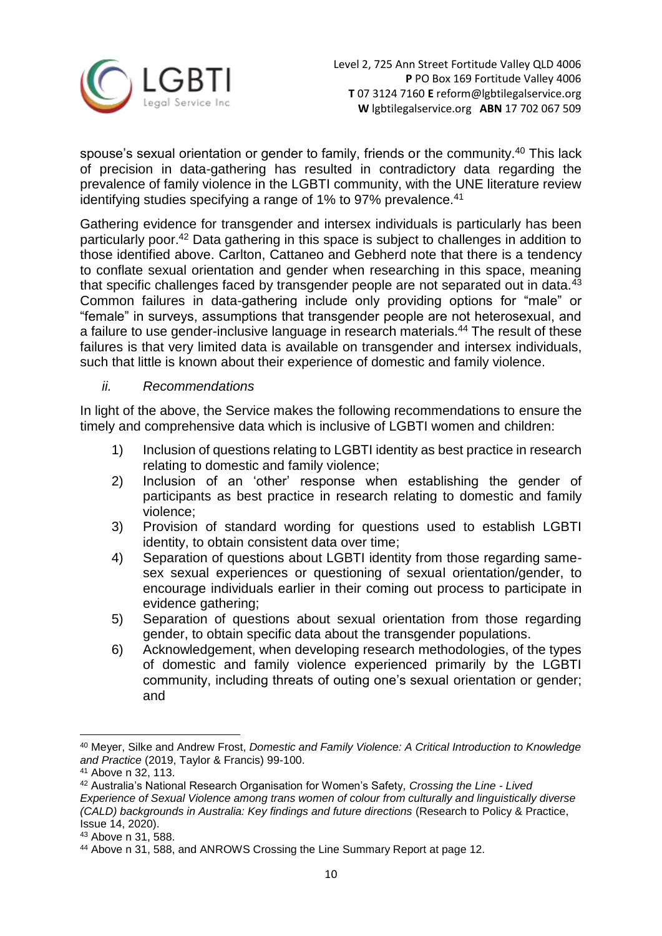

spouse's sexual orientation or gender to family, friends or the community.<sup>40</sup> This lack of precision in data-gathering has resulted in contradictory data regarding the prevalence of family violence in the LGBTI community, with the UNE literature review identifying studies specifying a range of 1% to 97% prevalence.<sup>41</sup>

Gathering evidence for transgender and intersex individuals is particularly has been particularly poor. <sup>42</sup> Data gathering in this space is subject to challenges in addition to those identified above. Carlton, Cattaneo and Gebherd note that there is a tendency to conflate sexual orientation and gender when researching in this space, meaning that specific challenges faced by transgender people are not separated out in data.<sup>43</sup> Common failures in data-gathering include only providing options for "male" or "female" in surveys, assumptions that transgender people are not heterosexual, and a failure to use gender-inclusive language in research materials.<sup>44</sup> The result of these failures is that very limited data is available on transgender and intersex individuals, such that little is known about their experience of domestic and family violence.

## *ii. Recommendations*

In light of the above, the Service makes the following recommendations to ensure the timely and comprehensive data which is inclusive of LGBTI women and children:

- 1) Inclusion of questions relating to LGBTI identity as best practice in research relating to domestic and family violence;
- 2) Inclusion of an 'other' response when establishing the gender of participants as best practice in research relating to domestic and family violence;
- 3) Provision of standard wording for questions used to establish LGBTI identity, to obtain consistent data over time;
- 4) Separation of questions about LGBTI identity from those regarding samesex sexual experiences or questioning of sexual orientation/gender, to encourage individuals earlier in their coming out process to participate in evidence gathering;
- 5) Separation of questions about sexual orientation from those regarding gender, to obtain specific data about the transgender populations.
- 6) Acknowledgement, when developing research methodologies, of the types of domestic and family violence experienced primarily by the LGBTI community, including threats of outing one's sexual orientation or gender; and

 $\overline{\phantom{a}}$ <sup>40</sup> Meyer, Silke and Andrew Frost, *Domestic and Family Violence: A Critical Introduction to Knowledge and Practice* (2019, Taylor & Francis) 99-100.

<sup>41</sup> Above n 32, 113.

<sup>42</sup> Australia's National Research Organisation for Women's Safety, *Crossing the Line - Lived Experience of Sexual Violence among trans women of colour from culturally and linguistically diverse (CALD) backgrounds in Australia: Key findings and future directions* (Research to Policy & Practice, Issue 14, 2020).

<sup>43</sup> Above n 31, 588.

<sup>44</sup> Above n 31, 588, and ANROWS Crossing the Line Summary Report at page 12.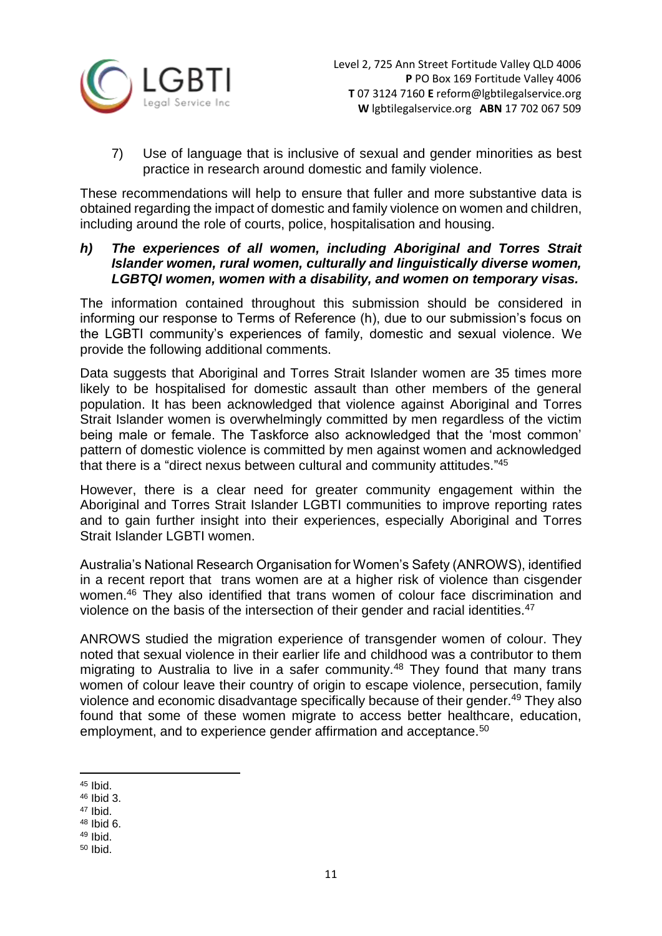

7) Use of language that is inclusive of sexual and gender minorities as best practice in research around domestic and family violence.

These recommendations will help to ensure that fuller and more substantive data is obtained regarding the impact of domestic and family violence on women and children, including around the role of courts, police, hospitalisation and housing.

## *h) The experiences of all women, including Aboriginal and Torres Strait Islander women, rural women, culturally and linguistically diverse women, LGBTQI women, women with a disability, and women on temporary visas.*

The information contained throughout this submission should be considered in informing our response to Terms of Reference (h), due to our submission's focus on the LGBTI community's experiences of family, domestic and sexual violence. We provide the following additional comments.

Data suggests that Aboriginal and Torres Strait Islander women are 35 times more likely to be hospitalised for domestic assault than other members of the general population. It has been acknowledged that violence against Aboriginal and Torres Strait Islander women is overwhelmingly committed by men regardless of the victim being male or female. The Taskforce also acknowledged that the 'most common' pattern of domestic violence is committed by men against women and acknowledged that there is a "direct nexus between cultural and community attitudes." 45

However, there is a clear need for greater community engagement within the Aboriginal and Torres Strait Islander LGBTI communities to improve reporting rates and to gain further insight into their experiences, especially Aboriginal and Torres Strait Islander LGBTI women.

Australia's National Research Organisation for Women's Safety (ANROWS), identified in a recent report that trans women are at a higher risk of violence than cisgender women.<sup>46</sup> They also identified that trans women of colour face discrimination and violence on the basis of the intersection of their gender and racial identities.<sup>47</sup>

ANROWS studied the migration experience of transgender women of colour. They noted that sexual violence in their earlier life and childhood was a contributor to them migrating to Australia to live in a safer community.<sup>48</sup> They found that many trans women of colour leave their country of origin to escape violence, persecution, family violence and economic disadvantage specifically because of their gender.<sup>49</sup> They also found that some of these women migrate to access better healthcare, education, employment, and to experience gender affirmation and acceptance.<sup>50</sup>

- <sup>46</sup> Ibid 3.
- $47$  Ibid.
- <sup>48</sup> Ibid 6.
- $49$  Ibid.
- <sup>50</sup> Ibid.

<sup>1</sup> <sup>45</sup> Ibid.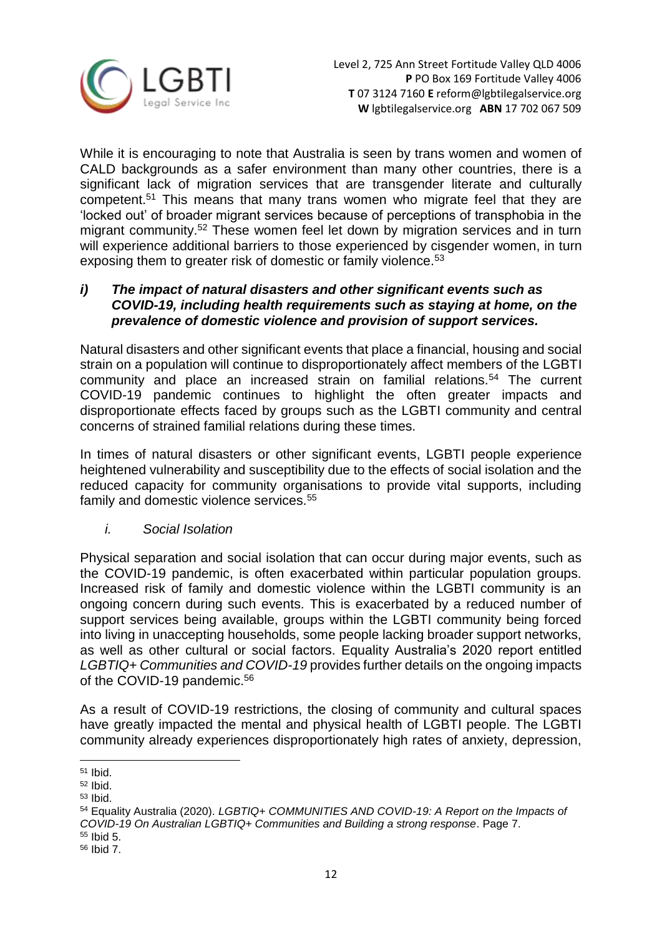

While it is encouraging to note that Australia is seen by trans women and women of CALD backgrounds as a safer environment than many other countries, there is a significant lack of migration services that are transgender literate and culturally competent.<sup>51</sup> This means that many trans women who migrate feel that they are 'locked out' of broader migrant services because of perceptions of transphobia in the migrant community.<sup>52</sup> These women feel let down by migration services and in turn will experience additional barriers to those experienced by cisgender women, in turn exposing them to greater risk of domestic or family violence.<sup>53</sup>

## *i) The impact of natural disasters and other significant events such as COVID-19, including health requirements such as staying at home, on the prevalence of domestic violence and provision of support services.*

Natural disasters and other significant events that place a financial, housing and social strain on a population will continue to disproportionately affect members of the LGBTI community and place an increased strain on familial relations.<sup>54</sup> The current COVID-19 pandemic continues to highlight the often greater impacts and disproportionate effects faced by groups such as the LGBTI community and central concerns of strained familial relations during these times.

In times of natural disasters or other significant events, LGBTI people experience heightened vulnerability and susceptibility due to the effects of social isolation and the reduced capacity for community organisations to provide vital supports, including family and domestic violence services.<sup>55</sup>

## *i. Social Isolation*

Physical separation and social isolation that can occur during major events, such as the COVID-19 pandemic, is often exacerbated within particular population groups. Increased risk of family and domestic violence within the LGBTI community is an ongoing concern during such events. This is exacerbated by a reduced number of support services being available, groups within the LGBTI community being forced into living in unaccepting households, some people lacking broader support networks, as well as other cultural or social factors. Equality Australia's 2020 report entitled *LGBTIQ+ Communities and COVID-19* provides further details on the ongoing impacts of the COVID-19 pandemic.<sup>56</sup>

As a result of COVID-19 restrictions, the closing of community and cultural spaces have greatly impacted the mental and physical health of LGBTI people. The LGBTI community already experiences disproportionately high rates of anxiety, depression,

**<sup>.</sup>** <sup>51</sup> Ibid.

<sup>52</sup> Ibid.

 $53$  Ibid.

<sup>54</sup> Equality Australia (2020). *LGBTIQ+ COMMUNITIES AND COVID-19: A Report on the Impacts of COVID-19 On Australian LGBTIQ+ Communities and Building a strong response*. Page 7.

 $55$  Ibid  $5.$ 

<sup>56</sup> Ibid 7.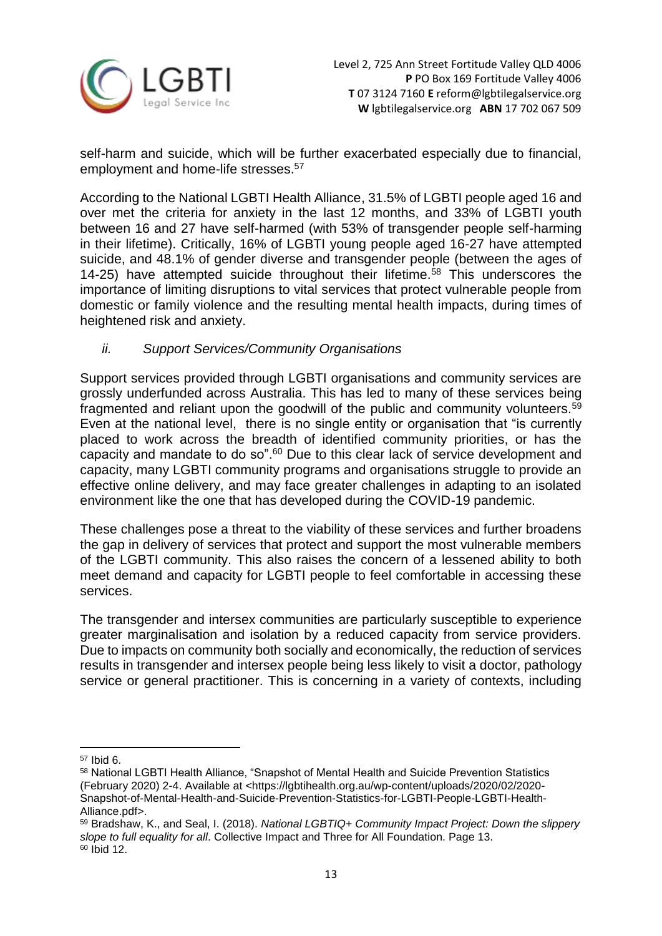

self-harm and suicide, which will be further exacerbated especially due to financial, employment and home-life stresses.<sup>57</sup>

According to the National LGBTI Health Alliance, 31.5% of LGBTI people aged 16 and over met the criteria for anxiety in the last 12 months, and 33% of LGBTI youth between 16 and 27 have self-harmed (with 53% of transgender people self-harming in their lifetime). Critically, 16% of LGBTI young people aged 16-27 have attempted suicide, and 48.1% of gender diverse and transgender people (between the ages of 14-25) have attempted suicide throughout their lifetime.<sup>58</sup> This underscores the importance of limiting disruptions to vital services that protect vulnerable people from domestic or family violence and the resulting mental health impacts, during times of heightened risk and anxiety.

# *ii. Support Services/Community Organisations*

Support services provided through LGBTI organisations and community services are grossly underfunded across Australia. This has led to many of these services being fragmented and reliant upon the goodwill of the public and community volunteers.<sup>59</sup> Even at the national level, there is no single entity or organisation that "is currently placed to work across the breadth of identified community priorities, or has the capacity and mandate to do so".<sup>60</sup> Due to this clear lack of service development and capacity, many LGBTI community programs and organisations struggle to provide an effective online delivery, and may face greater challenges in adapting to an isolated environment like the one that has developed during the COVID-19 pandemic.

These challenges pose a threat to the viability of these services and further broadens the gap in delivery of services that protect and support the most vulnerable members of the LGBTI community. This also raises the concern of a lessened ability to both meet demand and capacity for LGBTI people to feel comfortable in accessing these services.

The transgender and intersex communities are particularly susceptible to experience greater marginalisation and isolation by a reduced capacity from service providers. Due to impacts on community both socially and economically, the reduction of services results in transgender and intersex people being less likely to visit a doctor, pathology service or general practitioner. This is concerning in a variety of contexts, including

**.** 

<sup>57</sup> Ibid 6.

<sup>58</sup> National LGBTI Health Alliance, "Snapshot of Mental Health and Suicide Prevention Statistics (February 2020) 2-4. Available at [<https://lgbtihealth.org.au/wp-content/uploads/2020/02/2020-](https://lgbtihealth.org.au/wp-content/uploads/2020/02/2020-Snapshot-of-Mental-Health-and-Suicide-Prevention-Statistics-for-LGBTI-People-LGBTI-Health-Alliance.pdf) [Snapshot-of-Mental-Health-and-Suicide-Prevention-Statistics-for-LGBTI-People-LGBTI-Health-](https://lgbtihealth.org.au/wp-content/uploads/2020/02/2020-Snapshot-of-Mental-Health-and-Suicide-Prevention-Statistics-for-LGBTI-People-LGBTI-Health-Alliance.pdf)[Alliance.pdf>](https://lgbtihealth.org.au/wp-content/uploads/2020/02/2020-Snapshot-of-Mental-Health-and-Suicide-Prevention-Statistics-for-LGBTI-People-LGBTI-Health-Alliance.pdf).

<sup>59</sup> Bradshaw, K., and Seal, I. (2018). *National LGBTIQ+ Community Impact Project: Down the slippery slope to full equality for all*. Collective Impact and Three for All Foundation. Page 13.  $60$  Ibid 12.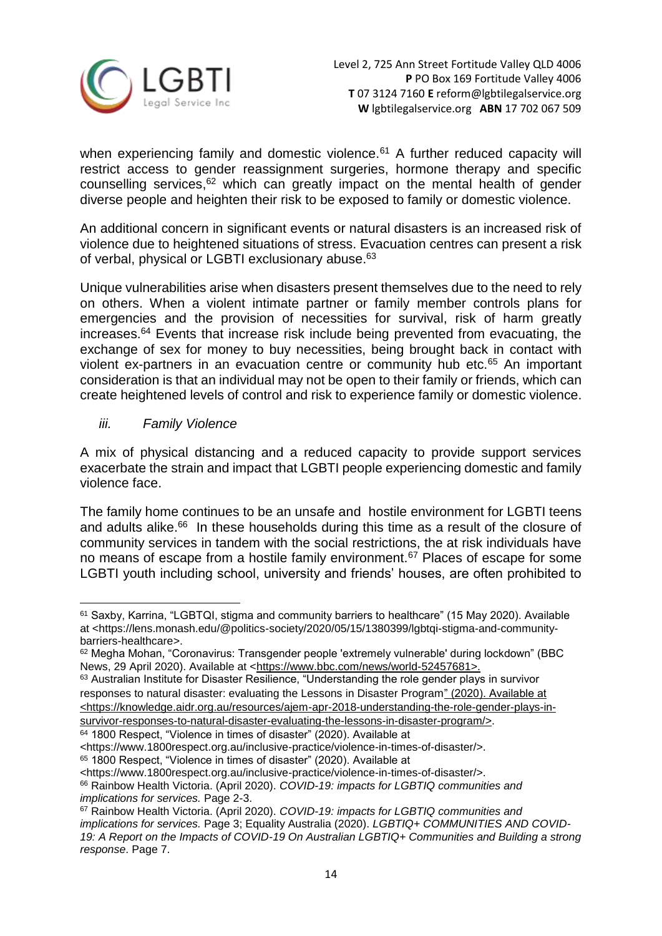

when experiencing family and domestic violence.<sup>61</sup> A further reduced capacity will restrict access to gender reassignment surgeries, hormone therapy and specific counselling services,<sup>62</sup> which can greatly impact on the mental health of gender diverse people and heighten their risk to be exposed to family or domestic violence.

An additional concern in significant events or natural disasters is an increased risk of violence due to heightened situations of stress. Evacuation centres can present a risk of verbal, physical or LGBTI exclusionary abuse.<sup>63</sup>

Unique vulnerabilities arise when disasters present themselves due to the need to rely on others. When a violent intimate partner or family member controls plans for emergencies and the provision of necessities for survival, risk of harm greatly increases.<sup>64</sup> Events that increase risk include being prevented from evacuating, the exchange of sex for money to buy necessities, being brought back in contact with violent ex-partners in an evacuation centre or community hub etc.<sup>65</sup> An important consideration is that an individual may not be open to their family or friends, which can create heightened levels of control and risk to experience family or domestic violence.

# *iii. Family Violence*

**.** 

A mix of physical distancing and a reduced capacity to provide support services exacerbate the strain and impact that LGBTI people experiencing domestic and family violence face.

The family home continues to be an unsafe and hostile environment for LGBTI teens and adults alike.<sup>66</sup> In these households during this time as a result of the closure of community services in tandem with the social restrictions, the at risk individuals have no means of escape from a hostile family environment.<sup>67</sup> Places of escape for some LGBTI youth including school, university and friends' houses, are often prohibited to

<sup>64</sup> 1800 Respect, "Violence in times of disaster" (2020). Available at

<sup>61</sup> Saxby, Karrina, "LGBTQI, stigma and community barriers to healthcare" (15 May 2020). Available at [<https://lens.monash.edu/@politics-society/2020/05/15/1380399/lgbtqi-stigma-and-community](https://lens.monash.edu/@politics-society/2020/05/15/1380399/lgbtqi-stigma-and-community-barriers-healthcare)[barriers-healthcare>](https://lens.monash.edu/@politics-society/2020/05/15/1380399/lgbtqi-stigma-and-community-barriers-healthcare).

<sup>62</sup> Megha Mohan, "Coronavirus: Transgender people 'extremely vulnerable' during lockdown" (BBC News, 29 April 2020). Available at [<https://www.bbc.com/news/world-52457681>](https://www.bbc.com/news/world-52457681).

<sup>&</sup>lt;sup>63</sup> Australian Institute for Disaster Resilience, "Understanding the role gender plays in survivor responses to natural disaster: evaluating the Lessons in Disaster Program" (2020). Available at [<https://knowledge.aidr.org.au/resources/ajem-apr-2018-understanding-the-role-gender-plays-in](https://knowledge.aidr.org.au/resources/ajem-apr-2018-understanding-the-role-gender-plays-in-survivor-responses-to-natural-disaster-evaluating-the-lessons-in-disaster-program/)[survivor-responses-to-natural-disaster-evaluating-the-lessons-in-disaster-program/>](https://knowledge.aidr.org.au/resources/ajem-apr-2018-understanding-the-role-gender-plays-in-survivor-responses-to-natural-disaster-evaluating-the-lessons-in-disaster-program/).

[<sup>&</sup>lt;https://www.1800respect.org.au/inclusive-practice/violence-in-times-of-disaster/>](https://www.1800respect.org.au/inclusive-practice/violence-in-times-of-disaster/).

<sup>65</sup> 1800 Respect, "Violence in times of disaster" (2020). Available at

[<sup>&</sup>lt;https://www.1800respect.org.au/inclusive-practice/violence-in-times-of-disaster/>](https://www.1800respect.org.au/inclusive-practice/violence-in-times-of-disaster/).

<sup>66</sup> Rainbow Health Victoria. (April 2020). *COVID-19: impacts for LGBTIQ communities and implications for services.* Page 2-3.

<sup>67</sup> Rainbow Health Victoria. (April 2020). *COVID-19: impacts for LGBTIQ communities and implications for services.* Page 3; Equality Australia (2020). *LGBTIQ+ COMMUNITIES AND COVID-19: A Report on the Impacts of COVID-19 On Australian LGBTIQ+ Communities and Building a strong response*. Page 7.